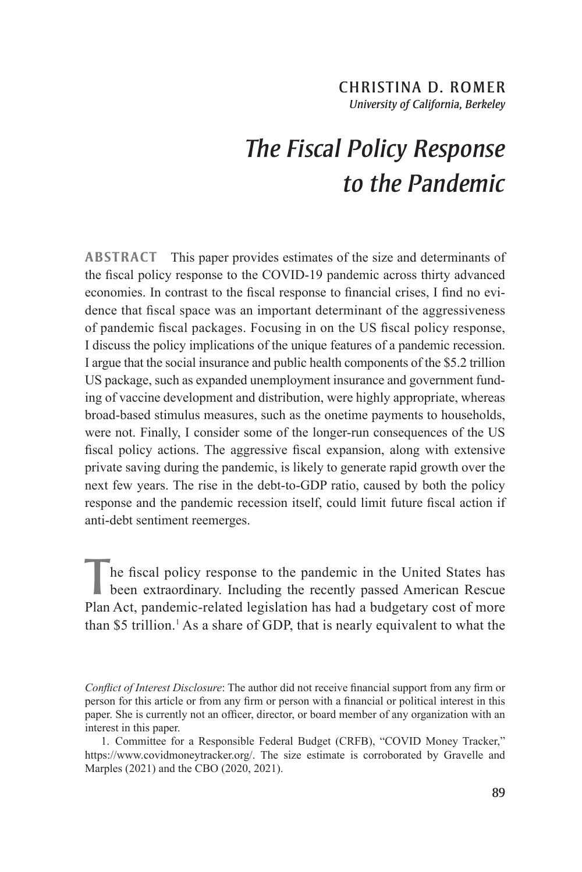## CHRISTINA D. ROMER *University of California, Berkeley*

# *The Fiscal Policy Response to the Pandemic*

**ABSTRACT** This paper provides estimates of the size and determinants of the fiscal policy response to the COVID-19 pandemic across thirty advanced economies. In contrast to the fiscal response to financial crises, I find no evidence that fiscal space was an important determinant of the aggressiveness of pandemic fiscal packages. Focusing in on the US fiscal policy response, I discuss the policy implications of the unique features of a pandemic recession. I argue that the social insurance and public health components of the \$5.2 trillion US package, such as expanded unemployment insurance and government funding of vaccine development and distribution, were highly appropriate, whereas broad-based stimulus measures, such as the onetime payments to households, were not. Finally, I consider some of the longer-run consequences of the US fiscal policy actions. The aggressive fiscal expansion, along with extensive private saving during the pandemic, is likely to generate rapid growth over the next few years. The rise in the debt-to-GDP ratio, caused by both the policy response and the pandemic recession itself, could limit future fiscal action if anti-debt sentiment reemerges.

 $\sqrt{\frac{1}{1}}$  he fiscal policy response to the pandemic in the United States has been extraordinary. Including the recently passed American Rescue Plan Act, pandemic-related legislation has had a budgetary cost of more than \$5 trillion.<sup>1</sup> As a share of GDP, that is nearly equivalent to what the

*Conflict of Interest Disclosure*: The author did not receive financial support from any firm or person for this article or from any firm or person with a financial or political interest in this paper. She is currently not an officer, director, or board member of any organization with an interest in this paper.

<sup>1.</sup> Committee for a Responsible Federal Budget (CRFB), "COVID Money Tracker," https://www.covidmoneytracker.org/. The size estimate is corroborated by Gravelle and Marples (2021) and the CBO (2020, 2021).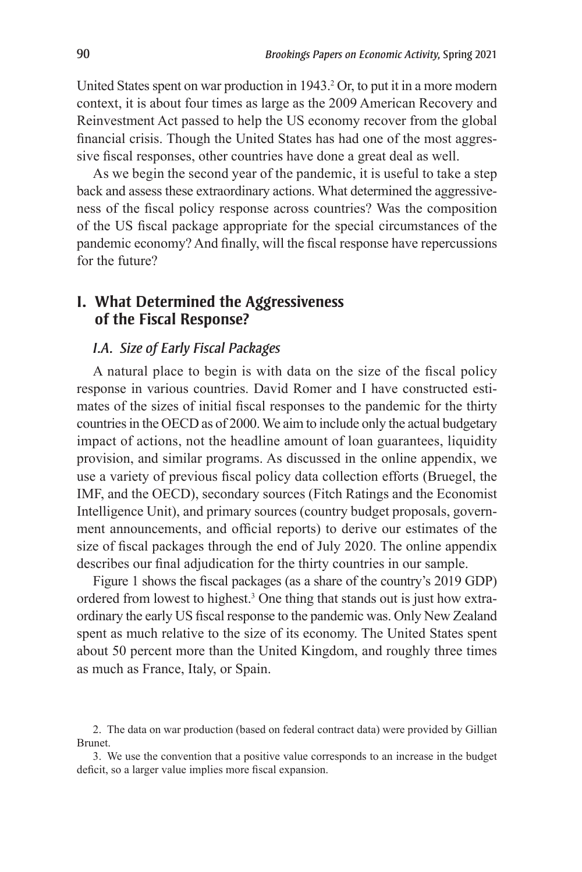United States spent on war production in 1943.<sup>2</sup> Or, to put it in a more modern context, it is about four times as large as the 2009 American Recovery and Reinvestment Act passed to help the US economy recover from the global financial crisis. Though the United States has had one of the most aggressive fiscal responses, other countries have done a great deal as well.

As we begin the second year of the pandemic, it is useful to take a step back and assess these extraordinary actions. What determined the aggressiveness of the fiscal policy response across countries? Was the composition of the US fiscal package appropriate for the special circumstances of the pandemic economy? And finally, will the fiscal response have repercussions for the future?

## **I. What Determined the Aggressiveness of the Fiscal Response?**

#### *I.A. Size of Early Fiscal Packages*

A natural place to begin is with data on the size of the fiscal policy response in various countries. David Romer and I have constructed estimates of the sizes of initial fiscal responses to the pandemic for the thirty countries in the OECD as of 2000. We aim to include only the actual budgetary impact of actions, not the headline amount of loan guarantees, liquidity provision, and similar programs. As discussed in the online appendix, we use a variety of previous fiscal policy data collection efforts (Bruegel, the IMF, and the OECD), secondary sources (Fitch Ratings and the Economist Intelligence Unit), and primary sources (country budget proposals, government announcements, and official reports) to derive our estimates of the size of fiscal packages through the end of July 2020. The online appendix describes our final adjudication for the thirty countries in our sample.

Figure 1 shows the fiscal packages (as a share of the country's 2019 GDP) ordered from lowest to highest.3 One thing that stands out is just how extraordinary the early US fiscal response to the pandemic was. Only New Zealand spent as much relative to the size of its economy. The United States spent about 50 percent more than the United Kingdom, and roughly three times as much as France, Italy, or Spain.

3. We use the convention that a positive value corresponds to an increase in the budget deficit, so a larger value implies more fiscal expansion.

<sup>2.</sup> The data on war production (based on federal contract data) were provided by Gillian Brunet.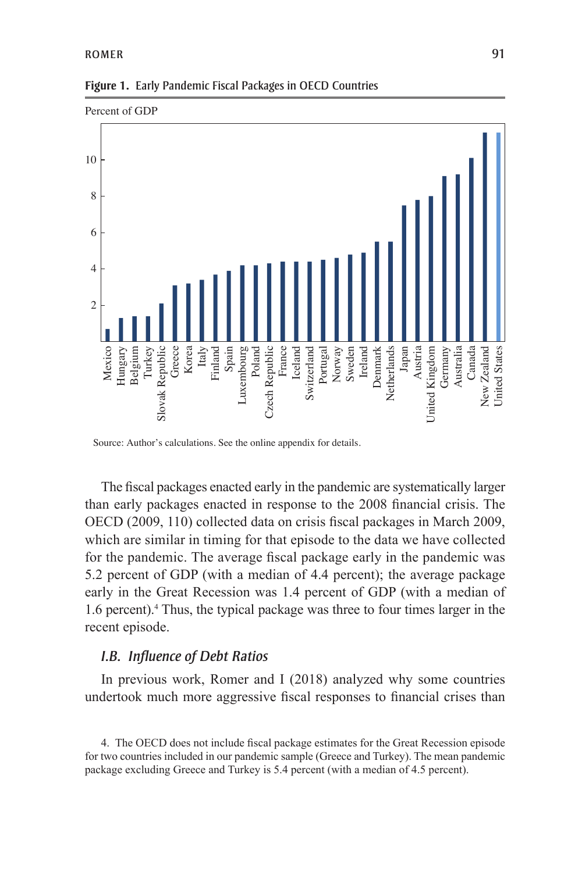

**Figure 1.** Early Pandemic Fiscal Packages in OECD Countries

The fiscal packages enacted early in the pandemic are systematically larger than early packages enacted in response to the 2008 financial crisis. The OECD (2009, 110) collected data on crisis fiscal packages in March 2009, which are similar in timing for that episode to the data we have collected for the pandemic. The average fiscal package early in the pandemic was 5.2 percent of GDP (with a median of 4.4 percent); the average package early in the Great Recession was 1.4 percent of GDP (with a median of 1.6 percent).4 Thus, the typical package was three to four times larger in the recent episode.

#### *I.B. Influence of Debt Ratios*

In previous work, Romer and I (2018) analyzed why some countries undertook much more aggressive fiscal responses to financial crises than

4. The OECD does not include fiscal package estimates for the Great Recession episode for two countries included in our pandemic sample (Greece and Turkey). The mean pandemic package excluding Greece and Turkey is 5.4 percent (with a median of 4.5 percent).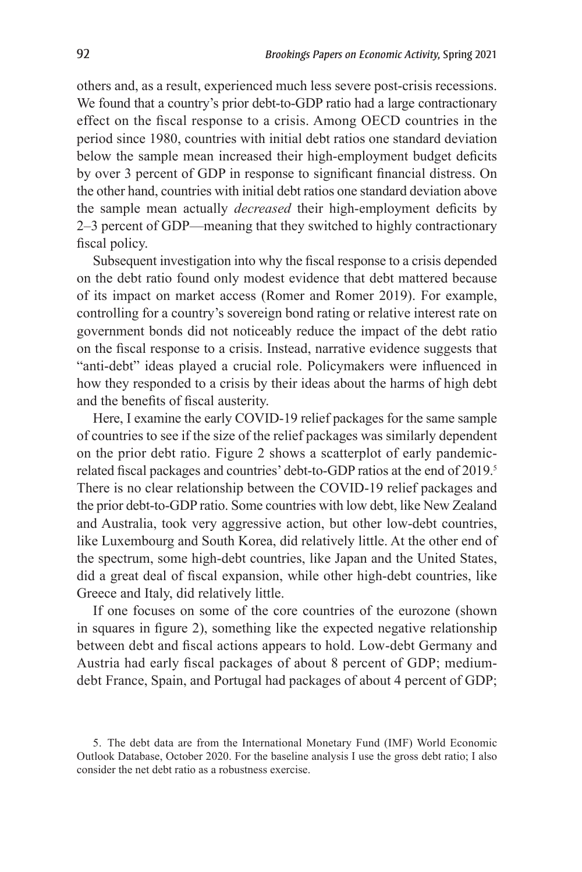others and, as a result, experienced much less severe post-crisis recessions. We found that a country's prior debt-to-GDP ratio had a large contractionary effect on the fiscal response to a crisis. Among OECD countries in the period since 1980, countries with initial debt ratios one standard deviation below the sample mean increased their high-employment budget deficits by over 3 percent of GDP in response to significant financial distress. On the other hand, countries with initial debt ratios one standard deviation above the sample mean actually *decreased* their high-employment deficits by 2–3 percent of GDP—meaning that they switched to highly contractionary fiscal policy.

Subsequent investigation into why the fiscal response to a crisis depended on the debt ratio found only modest evidence that debt mattered because of its impact on market access (Romer and Romer 2019). For example, controlling for a country's sovereign bond rating or relative interest rate on government bonds did not noticeably reduce the impact of the debt ratio on the fiscal response to a crisis. Instead, narrative evidence suggests that "anti-debt" ideas played a crucial role. Policymakers were influenced in how they responded to a crisis by their ideas about the harms of high debt and the benefits of fiscal austerity.

Here, I examine the early COVID-19 relief packages for the same sample of countries to see if the size of the relief packages was similarly dependent on the prior debt ratio. Figure 2 shows a scatterplot of early pandemicrelated fiscal packages and countries' debt-to-GDP ratios at the end of 2019.<sup>5</sup> There is no clear relationship between the COVID-19 relief packages and the prior debt-to-GDP ratio. Some countries with low debt, like New Zealand and Australia, took very aggressive action, but other low-debt countries, like Luxembourg and South Korea, did relatively little. At the other end of the spectrum, some high-debt countries, like Japan and the United States, did a great deal of fiscal expansion, while other high-debt countries, like Greece and Italy, did relatively little.

If one focuses on some of the core countries of the eurozone (shown in squares in figure 2), something like the expected negative relationship between debt and fiscal actions appears to hold. Low-debt Germany and Austria had early fiscal packages of about 8 percent of GDP; mediumdebt France, Spain, and Portugal had packages of about 4 percent of GDP;

<sup>5.</sup> The debt data are from the International Monetary Fund (IMF) World Economic Outlook Database, October 2020. For the baseline analysis I use the gross debt ratio; I also consider the net debt ratio as a robustness exercise.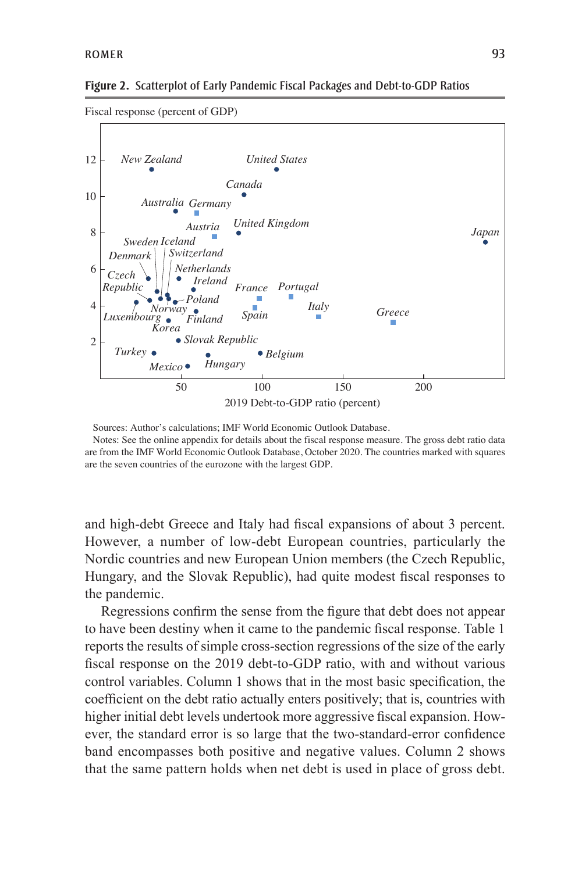

Sources: Author's calculations; IMF World Economic Outlook Database.

Notes: See the online appendix for details about the fiscal response measure. The gross debt ratio data are from the IMF World Economic Outlook Database, October 2020. The countries marked with squares are the seven countries of the eurozone with the largest GDP.

and high-debt Greece and Italy had fiscal expansions of about 3 percent. However, a number of low-debt European countries, particularly the Nordic countries and new European Union members (the Czech Republic, Hungary, and the Slovak Republic), had quite modest fiscal responses to the pandemic.

Regressions confirm the sense from the figure that debt does not appear to have been destiny when it came to the pandemic fiscal response. Table 1 reports the results of simple cross-section regressions of the size of the early fiscal response on the 2019 debt-to-GDP ratio, with and without various control variables. Column 1 shows that in the most basic specification, the coefficient on the debt ratio actually enters positively; that is, countries with higher initial debt levels undertook more aggressive fiscal expansion. However, the standard error is so large that the two-standard-error confidence band encompasses both positive and negative values. Column 2 shows that the same pattern holds when net debt is used in place of gross debt.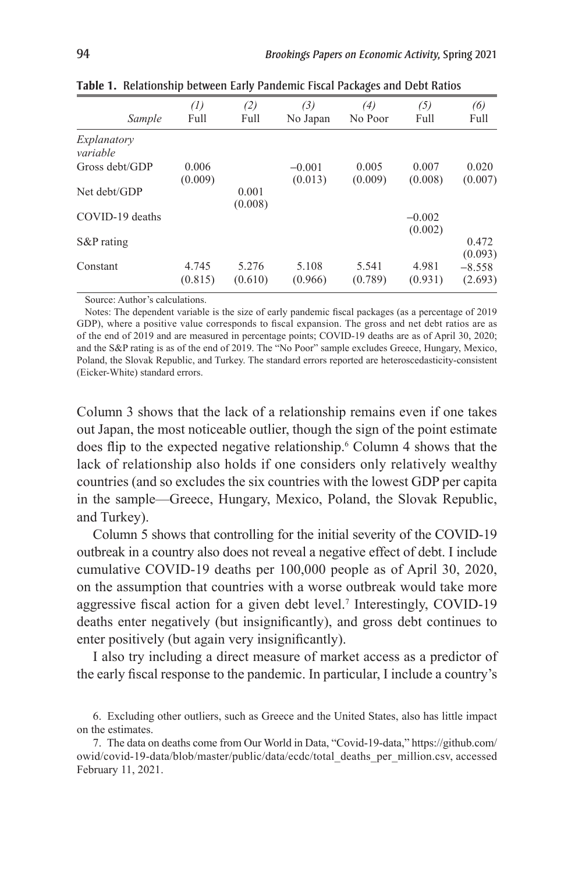| Sample                  | (1)<br>Full      | (2)<br>Full      | (3)<br>No Japan     | (4)<br>No Poor   | (5)<br>Full         | (6)<br>Full         |
|-------------------------|------------------|------------------|---------------------|------------------|---------------------|---------------------|
| Explanatory<br>variable |                  |                  |                     |                  |                     |                     |
| Gross debt/GDP          | 0.006<br>(0.009) |                  | $-0.001$<br>(0.013) | 0.005<br>(0.009) | 0.007<br>(0.008)    | 0.020<br>(0.007)    |
| Net debt/GDP            |                  | 0.001<br>(0.008) |                     |                  |                     |                     |
| COVID-19 deaths         |                  |                  |                     |                  | $-0.002$<br>(0.002) |                     |
| $S\&P$ rating           |                  |                  |                     |                  |                     | 0.472<br>(0.093)    |
| Constant                | 4.745<br>(0.815) | 5.276<br>(0.610) | 5.108<br>(0.966)    | 5.541<br>(0.789) | 4.981<br>(0.931)    | $-8.558$<br>(2.693) |
|                         |                  |                  |                     |                  |                     |                     |

**Table 1.** Relationship between Early Pandemic Fiscal Packages and Debt Ratios

Source: Author's calculations.

Notes: The dependent variable is the size of early pandemic fiscal packages (as a percentage of 2019 GDP), where a positive value corresponds to fiscal expansion. The gross and net debt ratios are as of the end of 2019 and are measured in percentage points; COVID-19 deaths are as of April 30, 2020; and the S&P rating is as of the end of 2019. The "No Poor" sample excludes Greece, Hungary, Mexico, Poland, the Slovak Republic, and Turkey. The standard errors reported are heteroscedasticity-consistent (Eicker-White) standard errors.

Column 3 shows that the lack of a relationship remains even if one takes out Japan, the most noticeable outlier, though the sign of the point estimate does flip to the expected negative relationship.6 Column 4 shows that the lack of relationship also holds if one considers only relatively wealthy countries (and so excludes the six countries with the lowest GDP per capita in the sample—Greece, Hungary, Mexico, Poland, the Slovak Republic, and Turkey).

Column 5 shows that controlling for the initial severity of the COVID-19 outbreak in a country also does not reveal a negative effect of debt. I include cumulative COVID-19 deaths per 100,000 people as of April 30, 2020, on the assumption that countries with a worse outbreak would take more aggressive fiscal action for a given debt level.<sup>7</sup> Interestingly, COVID-19 deaths enter negatively (but insignificantly), and gross debt continues to enter positively (but again very insignificantly).

I also try including a direct measure of market access as a predictor of the early fiscal response to the pandemic. In particular, I include a country's

7. The data on deaths come from Our World in Data, "Covid-19-data," https://github.com/ owid/covid-19-data/blob/master/public/data/ecdc/total\_deaths\_per\_million.csv, accessed February 11, 2021.

<sup>6.</sup> Excluding other outliers, such as Greece and the United States, also has little impact on the estimates.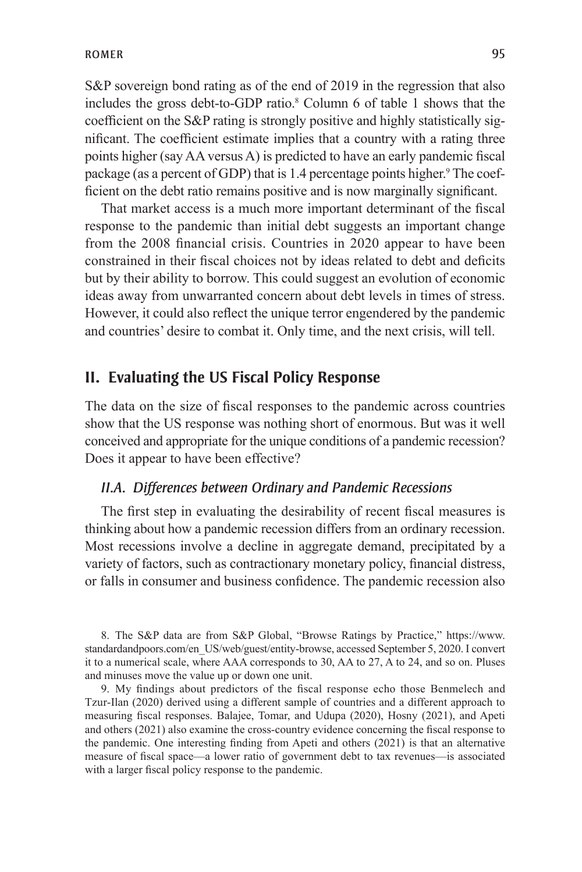S&P sovereign bond rating as of the end of 2019 in the regression that also includes the gross debt-to-GDP ratio.<sup>8</sup> Column 6 of table 1 shows that the coefficient on the S&P rating is strongly positive and highly statistically significant. The coefficient estimate implies that a country with a rating three points higher (say AA versus A) is predicted to have an early pandemic fiscal package (as a percent of GDP) that is 1.4 percentage points higher.<sup>9</sup> The coefficient on the debt ratio remains positive and is now marginally significant.

That market access is a much more important determinant of the fiscal response to the pandemic than initial debt suggests an important change from the 2008 financial crisis. Countries in 2020 appear to have been constrained in their fiscal choices not by ideas related to debt and deficits but by their ability to borrow. This could suggest an evolution of economic ideas away from unwarranted concern about debt levels in times of stress. However, it could also reflect the unique terror engendered by the pandemic and countries' desire to combat it. Only time, and the next crisis, will tell.

## **II. Evaluating the US Fiscal Policy Response**

The data on the size of fiscal responses to the pandemic across countries show that the US response was nothing short of enormous. But was it well conceived and appropriate for the unique conditions of a pandemic recession? Does it appear to have been effective?

#### *II.A. Differences between Ordinary and Pandemic Recessions*

The first step in evaluating the desirability of recent fiscal measures is thinking about how a pandemic recession differs from an ordinary recession. Most recessions involve a decline in aggregate demand, precipitated by a variety of factors, such as contractionary monetary policy, financial distress, or falls in consumer and business confidence. The pandemic recession also

8. The S&P data are from S&P Global, "Browse Ratings by Practice," https://www. standardandpoors.com/en\_US/web/guest/entity-browse, accessed September 5, 2020. I convert it to a numerical scale, where AAA corresponds to 30, AA to 27, A to 24, and so on. Pluses and minuses move the value up or down one unit.

9. My findings about predictors of the fiscal response echo those Benmelech and Tzur-Ilan (2020) derived using a different sample of countries and a different approach to measuring fiscal responses. Balajee, Tomar, and Udupa (2020), Hosny (2021), and Apeti and others (2021) also examine the cross-country evidence concerning the fiscal response to the pandemic. One interesting finding from Apeti and others (2021) is that an alternative measure of fiscal space—a lower ratio of government debt to tax revenues—is associated with a larger fiscal policy response to the pandemic.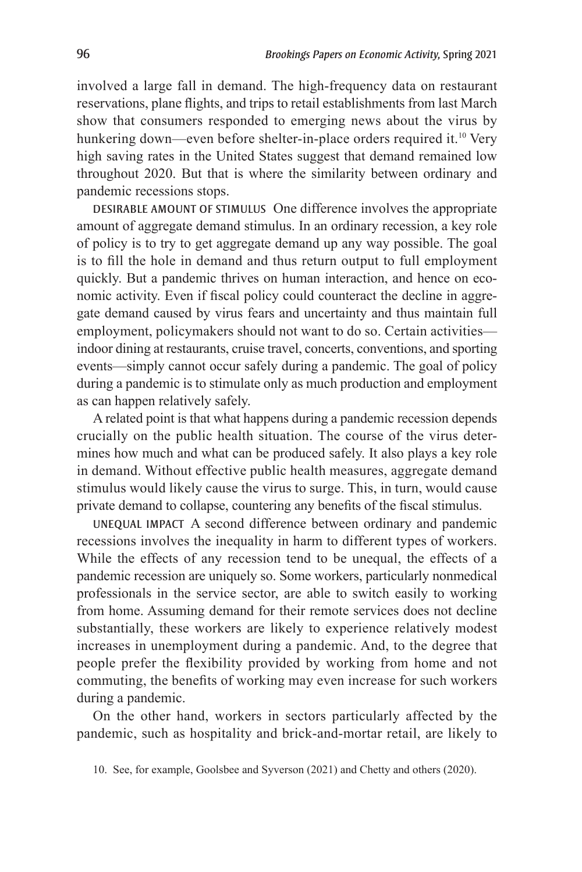involved a large fall in demand. The high-frequency data on restaurant reservations, plane flights, and trips to retail establishments from last March show that consumers responded to emerging news about the virus by hunkering down—even before shelter-in-place orders required it.<sup>10</sup> Very high saving rates in the United States suggest that demand remained low throughout 2020. But that is where the similarity between ordinary and pandemic recessions stops.

DESIRABLE AMOUNT OF STIMULUS One difference involves the appropriate amount of aggregate demand stimulus. In an ordinary recession, a key role of policy is to try to get aggregate demand up any way possible. The goal is to fill the hole in demand and thus return output to full employment quickly. But a pandemic thrives on human interaction, and hence on economic activity. Even if fiscal policy could counteract the decline in aggregate demand caused by virus fears and uncertainty and thus maintain full employment, policymakers should not want to do so. Certain activities indoor dining at restaurants, cruise travel, concerts, conventions, and sporting events—simply cannot occur safely during a pandemic. The goal of policy during a pandemic is to stimulate only as much production and employment as can happen relatively safely.

A related point is that what happens during a pandemic recession depends crucially on the public health situation. The course of the virus determines how much and what can be produced safely. It also plays a key role in demand. Without effective public health measures, aggregate demand stimulus would likely cause the virus to surge. This, in turn, would cause private demand to collapse, countering any benefits of the fiscal stimulus.

UNEQUAL IMPACT A second difference between ordinary and pandemic recessions involves the inequality in harm to different types of workers. While the effects of any recession tend to be unequal, the effects of a pandemic recession are uniquely so. Some workers, particularly nonmedical professionals in the service sector, are able to switch easily to working from home. Assuming demand for their remote services does not decline substantially, these workers are likely to experience relatively modest increases in unemployment during a pandemic. And, to the degree that people prefer the flexibility provided by working from home and not commuting, the benefits of working may even increase for such workers during a pandemic.

On the other hand, workers in sectors particularly affected by the pandemic, such as hospitality and brick-and-mortar retail, are likely to

<sup>10.</sup> See, for example, Goolsbee and Syverson (2021) and Chetty and others (2020).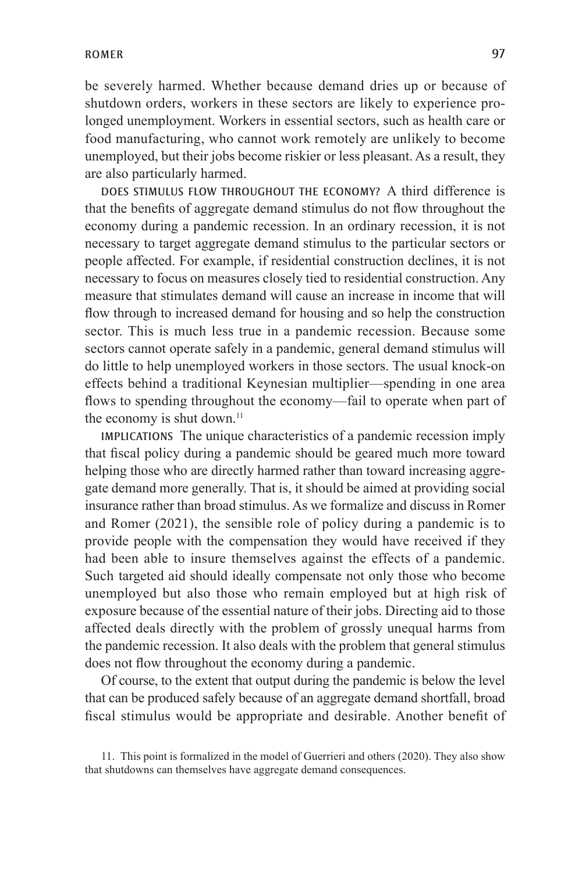be severely harmed. Whether because demand dries up or because of shutdown orders, workers in these sectors are likely to experience prolonged unemployment. Workers in essential sectors, such as health care or food manufacturing, who cannot work remotely are unlikely to become unemployed, but their jobs become riskier or less pleasant. As a result, they are also particularly harmed.

DOES STIMULUS FLOW THROUGHOUT THE ECONOMY? A third difference is that the benefits of aggregate demand stimulus do not flow throughout the economy during a pandemic recession. In an ordinary recession, it is not necessary to target aggregate demand stimulus to the particular sectors or people affected. For example, if residential construction declines, it is not necessary to focus on measures closely tied to residential construction. Any measure that stimulates demand will cause an increase in income that will flow through to increased demand for housing and so help the construction sector. This is much less true in a pandemic recession. Because some sectors cannot operate safely in a pandemic, general demand stimulus will do little to help unemployed workers in those sectors. The usual knock-on effects behind a traditional Keynesian multiplier—spending in one area flows to spending throughout the economy—fail to operate when part of the economy is shut down.<sup>11</sup>

IMPLICATIONS The unique characteristics of a pandemic recession imply that fiscal policy during a pandemic should be geared much more toward helping those who are directly harmed rather than toward increasing aggregate demand more generally. That is, it should be aimed at providing social insurance rather than broad stimulus. As we formalize and discuss in Romer and Romer (2021), the sensible role of policy during a pandemic is to provide people with the compensation they would have received if they had been able to insure themselves against the effects of a pandemic. Such targeted aid should ideally compensate not only those who become unemployed but also those who remain employed but at high risk of exposure because of the essential nature of their jobs. Directing aid to those affected deals directly with the problem of grossly unequal harms from the pandemic recession. It also deals with the problem that general stimulus does not flow throughout the economy during a pandemic.

Of course, to the extent that output during the pandemic is below the level that can be produced safely because of an aggregate demand shortfall, broad fiscal stimulus would be appropriate and desirable. Another benefit of

11. This point is formalized in the model of Guerrieri and others (2020). They also show that shutdowns can themselves have aggregate demand consequences.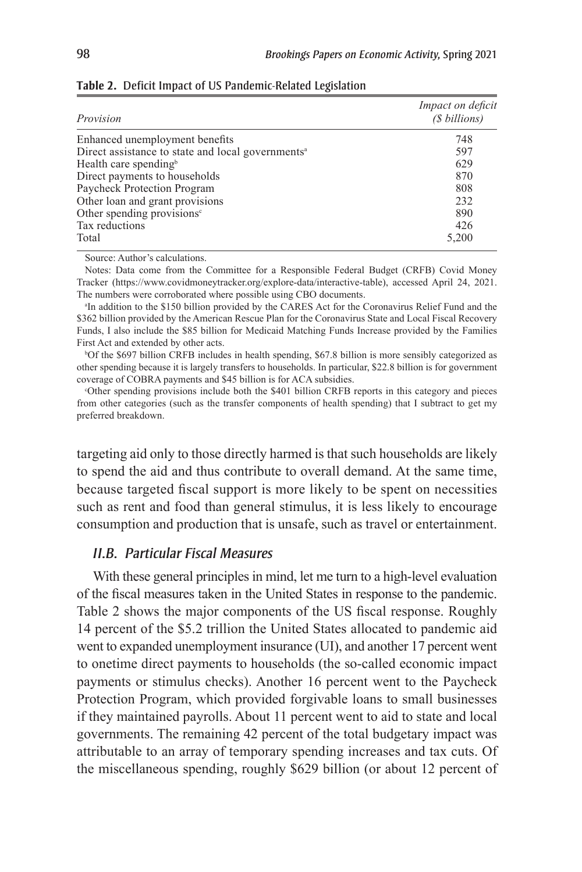| Provision                                                     | Impact on deficit<br>(\$ billions) |  |  |
|---------------------------------------------------------------|------------------------------------|--|--|
| Enhanced unemployment benefits                                | 748                                |  |  |
| Direct assistance to state and local governments <sup>a</sup> | 597                                |  |  |
| Health care spending <sup>b</sup>                             | 629                                |  |  |
| Direct payments to households                                 | 870                                |  |  |
| Paycheck Protection Program                                   | 808                                |  |  |
| Other loan and grant provisions                               | 232                                |  |  |
| Other spending provisions $\epsilon$                          | 890                                |  |  |
| Tax reductions                                                | 426                                |  |  |
| Total                                                         | 5,200                              |  |  |

|  |  |  |  | Table 2. Deficit Impact of US Pandemic-Related Legislation |  |
|--|--|--|--|------------------------------------------------------------|--|
|--|--|--|--|------------------------------------------------------------|--|

Source: Author's calculations.

Notes: Data come from the Committee for a Responsible Federal Budget (CRFB) Covid Money Tracker (https://www.covidmoneytracker.org/explore-data/interactive-table), accessed April 24, 2021. The numbers were corroborated where possible using CBO documents.

a In addition to the \$150 billion provided by the CARES Act for the Coronavirus Relief Fund and the \$362 billion provided by the American Rescue Plan for the Coronavirus State and Local Fiscal Recovery Funds, I also include the \$85 billion for Medicaid Matching Funds Increase provided by the Families First Act and extended by other acts.

b Of the \$697 billion CRFB includes in health spending, \$67.8 billion is more sensibly categorized as other spending because it is largely transfers to households. In particular, \$22.8 billion is for government coverage of COBRA payments and \$45 billion is for ACA subsidies.

c Other spending provisions include both the \$401 billion CRFB reports in this category and pieces from other categories (such as the transfer components of health spending) that I subtract to get my preferred breakdown.

targeting aid only to those directly harmed is that such households are likely to spend the aid and thus contribute to overall demand. At the same time, because targeted fiscal support is more likely to be spent on necessities such as rent and food than general stimulus, it is less likely to encourage consumption and production that is unsafe, such as travel or entertainment.

#### *II.B. Particular Fiscal Measures*

With these general principles in mind, let me turn to a high-level evaluation of the fiscal measures taken in the United States in response to the pandemic. Table 2 shows the major components of the US fiscal response. Roughly 14 percent of the \$5.2 trillion the United States allocated to pandemic aid went to expanded unemployment insurance (UI), and another 17 percent went to onetime direct payments to households (the so-called economic impact payments or stimulus checks). Another 16 percent went to the Paycheck Protection Program, which provided forgivable loans to small businesses if they maintained payrolls. About 11 percent went to aid to state and local governments. The remaining 42 percent of the total budgetary impact was attributable to an array of temporary spending increases and tax cuts. Of the miscellaneous spending, roughly \$629 billion (or about 12 percent of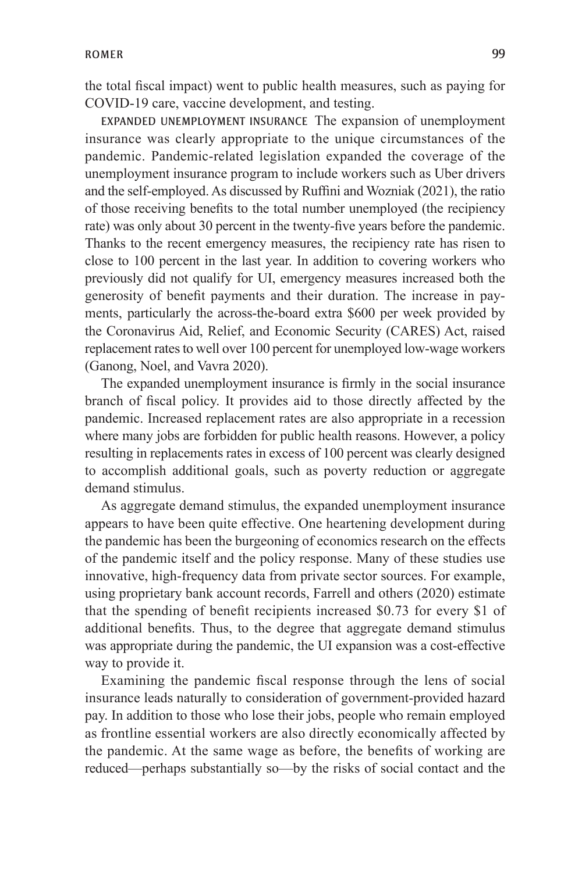the total fiscal impact) went to public health measures, such as paying for COVID-19 care, vaccine development, and testing.

EXPANDED UNEMPLOYMENT INSURANCE The expansion of unemployment insurance was clearly appropriate to the unique circumstances of the pandemic. Pandemic-related legislation expanded the coverage of the unemployment insurance program to include workers such as Uber drivers and the self-employed. As discussed by Ruffini and Wozniak (2021), the ratio of those receiving benefits to the total number unemployed (the recipiency rate) was only about 30 percent in the twenty-five years before the pandemic. Thanks to the recent emergency measures, the recipiency rate has risen to close to 100 percent in the last year. In addition to covering workers who previously did not qualify for UI, emergency measures increased both the generosity of benefit payments and their duration. The increase in payments, particularly the across-the-board extra \$600 per week provided by the Coronavirus Aid, Relief, and Economic Security (CARES) Act, raised replacement rates to well over 100 percent for unemployed low-wage workers (Ganong, Noel, and Vavra 2020).

The expanded unemployment insurance is firmly in the social insurance branch of fiscal policy. It provides aid to those directly affected by the pandemic. Increased replacement rates are also appropriate in a recession where many jobs are forbidden for public health reasons. However, a policy resulting in replacements rates in excess of 100 percent was clearly designed to accomplish additional goals, such as poverty reduction or aggregate demand stimulus.

As aggregate demand stimulus, the expanded unemployment insurance appears to have been quite effective. One heartening development during the pandemic has been the burgeoning of economics research on the effects of the pandemic itself and the policy response. Many of these studies use innovative, high-frequency data from private sector sources. For example, using proprietary bank account records, Farrell and others (2020) estimate that the spending of benefit recipients increased \$0.73 for every \$1 of additional benefits. Thus, to the degree that aggregate demand stimulus was appropriate during the pandemic, the UI expansion was a cost-effective way to provide it.

Examining the pandemic fiscal response through the lens of social insurance leads naturally to consideration of government-provided hazard pay. In addition to those who lose their jobs, people who remain employed as frontline essential workers are also directly economically affected by the pandemic. At the same wage as before, the benefits of working are reduced—perhaps substantially so—by the risks of social contact and the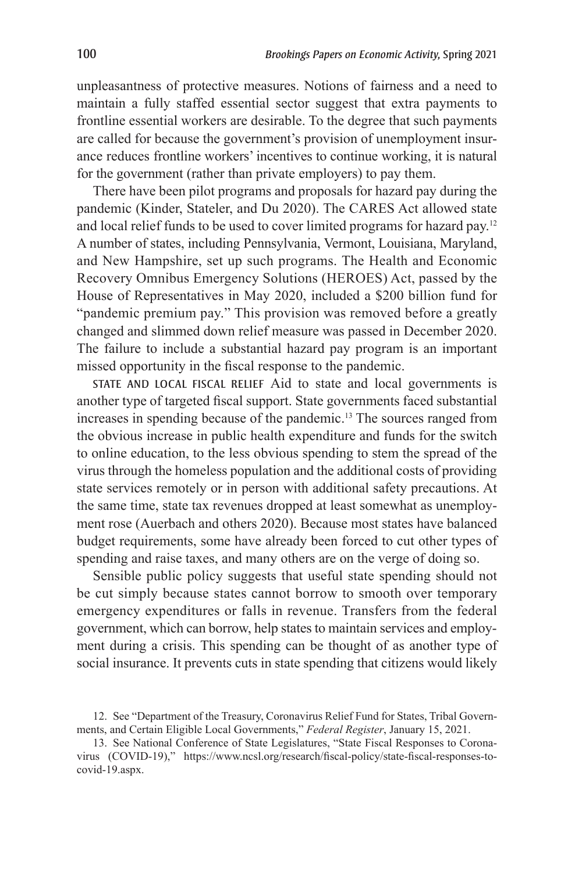unpleasantness of protective measures. Notions of fairness and a need to maintain a fully staffed essential sector suggest that extra payments to frontline essential workers are desirable. To the degree that such payments are called for because the government's provision of unemployment insurance reduces frontline workers' incentives to continue working, it is natural for the government (rather than private employers) to pay them.

There have been pilot programs and proposals for hazard pay during the pandemic (Kinder, Stateler, and Du 2020). The CARES Act allowed state and local relief funds to be used to cover limited programs for hazard pay.12 A number of states, including Pennsylvania, Vermont, Louisiana, Maryland, and New Hampshire, set up such programs. The Health and Economic Recovery Omnibus Emergency Solutions (HEROES) Act, passed by the House of Representatives in May 2020, included a \$200 billion fund for "pandemic premium pay." This provision was removed before a greatly changed and slimmed down relief measure was passed in December 2020. The failure to include a substantial hazard pay program is an important missed opportunity in the fiscal response to the pandemic.

STATE AND LOCAL FISCAL RELIEF Aid to state and local governments is another type of targeted fiscal support. State governments faced substantial increases in spending because of the pandemic.13 The sources ranged from the obvious increase in public health expenditure and funds for the switch to online education, to the less obvious spending to stem the spread of the virus through the homeless population and the additional costs of providing state services remotely or in person with additional safety precautions. At the same time, state tax revenues dropped at least somewhat as unemployment rose (Auerbach and others 2020). Because most states have balanced budget requirements, some have already been forced to cut other types of spending and raise taxes, and many others are on the verge of doing so.

Sensible public policy suggests that useful state spending should not be cut simply because states cannot borrow to smooth over temporary emergency expenditures or falls in revenue. Transfers from the federal government, which can borrow, help states to maintain services and employment during a crisis. This spending can be thought of as another type of social insurance. It prevents cuts in state spending that citizens would likely

<sup>12.</sup> See "Department of the Treasury, Coronavirus Relief Fund for States, Tribal Governments, and Certain Eligible Local Governments," *Federal Register*, January 15, 2021.

<sup>13.</sup> See National Conference of State Legislatures, "State Fiscal Responses to Coronavirus (COVID-19)," https://www.ncsl.org/research/fiscal-policy/state-fiscal-responses-tocovid-19.aspx.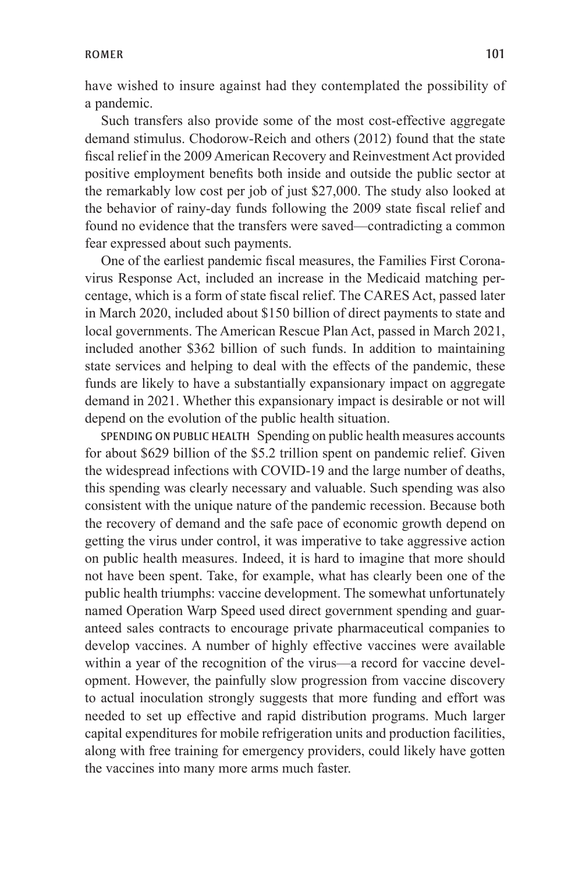have wished to insure against had they contemplated the possibility of a pandemic.

Such transfers also provide some of the most cost-effective aggregate demand stimulus. Chodorow-Reich and others (2012) found that the state fiscal relief in the 2009 American Recovery and Reinvestment Act provided positive employment benefits both inside and outside the public sector at the remarkably low cost per job of just \$27,000. The study also looked at the behavior of rainy-day funds following the 2009 state fiscal relief and found no evidence that the transfers were saved—contradicting a common fear expressed about such payments.

One of the earliest pandemic fiscal measures, the Families First Coronavirus Response Act, included an increase in the Medicaid matching percentage, which is a form of state fiscal relief. The CARES Act, passed later in March 2020, included about \$150 billion of direct payments to state and local governments. The American Rescue Plan Act, passed in March 2021, included another \$362 billion of such funds. In addition to maintaining state services and helping to deal with the effects of the pandemic, these funds are likely to have a substantially expansionary impact on aggregate demand in 2021. Whether this expansionary impact is desirable or not will depend on the evolution of the public health situation.

SPENDING ON PUBLIC HEALTH Spending on public health measures accounts for about \$629 billion of the \$5.2 trillion spent on pandemic relief. Given the widespread infections with COVID-19 and the large number of deaths, this spending was clearly necessary and valuable. Such spending was also consistent with the unique nature of the pandemic recession. Because both the recovery of demand and the safe pace of economic growth depend on getting the virus under control, it was imperative to take aggressive action on public health measures. Indeed, it is hard to imagine that more should not have been spent. Take, for example, what has clearly been one of the public health triumphs: vaccine development. The somewhat unfortunately named Operation Warp Speed used direct government spending and guaranteed sales contracts to encourage private pharmaceutical companies to develop vaccines. A number of highly effective vaccines were available within a year of the recognition of the virus—a record for vaccine development. However, the painfully slow progression from vaccine discovery to actual inoculation strongly suggests that more funding and effort was needed to set up effective and rapid distribution programs. Much larger capital expenditures for mobile refrigeration units and production facilities, along with free training for emergency providers, could likely have gotten the vaccines into many more arms much faster.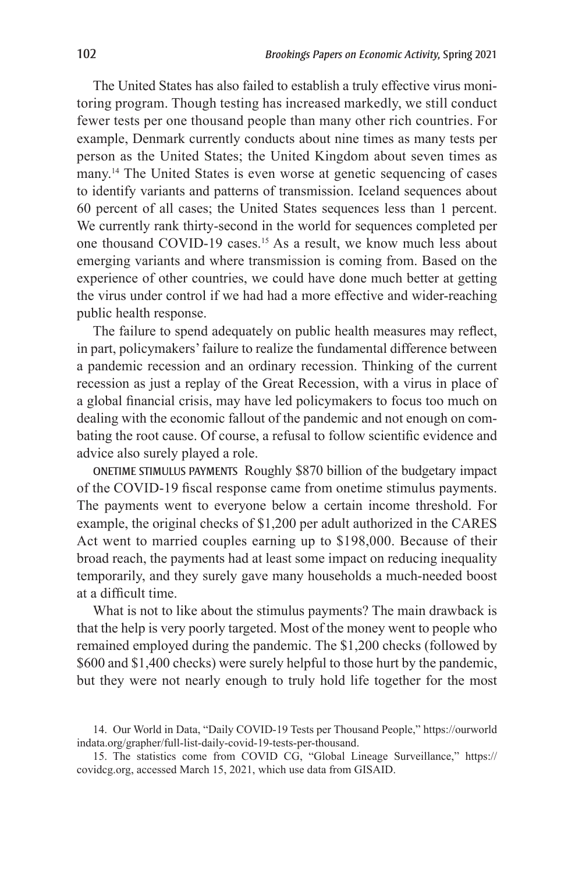The United States has also failed to establish a truly effective virus monitoring program. Though testing has increased markedly, we still conduct fewer tests per one thousand people than many other rich countries. For example, Denmark currently conducts about nine times as many tests per person as the United States; the United Kingdom about seven times as many.14 The United States is even worse at genetic sequencing of cases to identify variants and patterns of transmission. Iceland sequences about 60 percent of all cases; the United States sequences less than 1 percent. We currently rank thirty-second in the world for sequences completed per one thousand COVID-19 cases.15 As a result, we know much less about emerging variants and where transmission is coming from. Based on the experience of other countries, we could have done much better at getting the virus under control if we had had a more effective and wider-reaching public health response.

The failure to spend adequately on public health measures may reflect, in part, policymakers' failure to realize the fundamental difference between a pandemic recession and an ordinary recession. Thinking of the current recession as just a replay of the Great Recession, with a virus in place of a global financial crisis, may have led policymakers to focus too much on dealing with the economic fallout of the pandemic and not enough on combating the root cause. Of course, a refusal to follow scientific evidence and advice also surely played a role.

ONETIME STIMULUS PAYMENTS Roughly \$870 billion of the budgetary impact of the COVID-19 fiscal response came from onetime stimulus payments. The payments went to everyone below a certain income threshold. For example, the original checks of \$1,200 per adult authorized in the CARES Act went to married couples earning up to \$198,000. Because of their broad reach, the payments had at least some impact on reducing inequality temporarily, and they surely gave many households a much-needed boost at a difficult time.

What is not to like about the stimulus payments? The main drawback is that the help is very poorly targeted. Most of the money went to people who remained employed during the pandemic. The \$1,200 checks (followed by \$600 and \$1,400 checks) were surely helpful to those hurt by the pandemic, but they were not nearly enough to truly hold life together for the most

<sup>14.</sup> Our World in Data, "Daily COVID-19 Tests per Thousand People," https://ourworld indata.org/grapher/full-list-daily-covid-19-tests-per-thousand.

<sup>15.</sup> The statistics come from COVID CG, "Global Lineage Surveillance," https:// covidcg.org, accessed March 15, 2021, which use data from GISAID.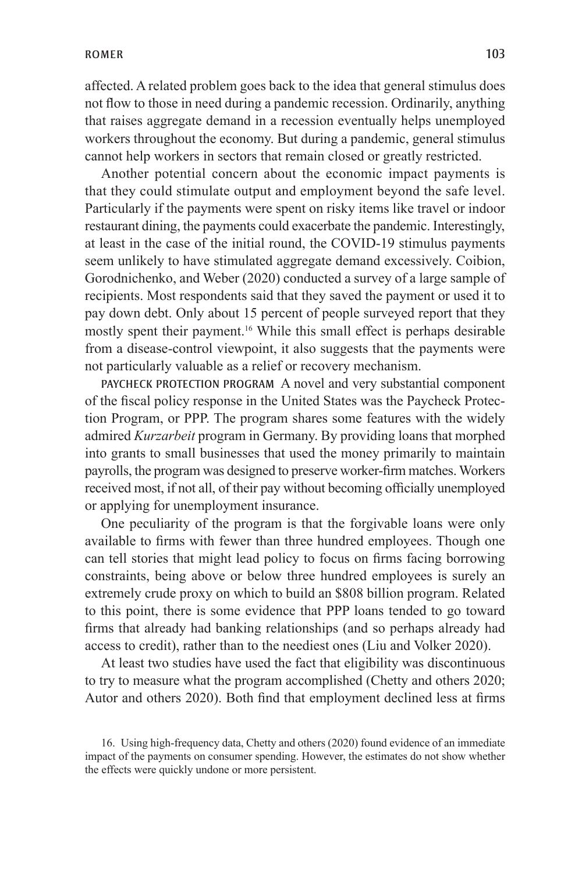affected. A related problem goes back to the idea that general stimulus does not flow to those in need during a pandemic recession. Ordinarily, anything that raises aggregate demand in a recession eventually helps unemployed workers throughout the economy. But during a pandemic, general stimulus cannot help workers in sectors that remain closed or greatly restricted.

Another potential concern about the economic impact payments is that they could stimulate output and employment beyond the safe level. Particularly if the payments were spent on risky items like travel or indoor restaurant dining, the payments could exacerbate the pandemic. Interestingly, at least in the case of the initial round, the COVID-19 stimulus payments seem unlikely to have stimulated aggregate demand excessively. Coibion, Gorodnichenko, and Weber (2020) conducted a survey of a large sample of recipients. Most respondents said that they saved the payment or used it to pay down debt. Only about 15 percent of people surveyed report that they mostly spent their payment.16 While this small effect is perhaps desirable from a disease-control viewpoint, it also suggests that the payments were not particularly valuable as a relief or recovery mechanism.

PAYCHECK PROTECTION PROGRAM A novel and very substantial component of the fiscal policy response in the United States was the Paycheck Protection Program, or PPP. The program shares some features with the widely admired *Kurzarbeit* program in Germany. By providing loans that morphed into grants to small businesses that used the money primarily to maintain payrolls, the program was designed to preserve worker-firm matches. Workers received most, if not all, of their pay without becoming officially unemployed or applying for unemployment insurance.

One peculiarity of the program is that the forgivable loans were only available to firms with fewer than three hundred employees. Though one can tell stories that might lead policy to focus on firms facing borrowing constraints, being above or below three hundred employees is surely an extremely crude proxy on which to build an \$808 billion program. Related to this point, there is some evidence that PPP loans tended to go toward firms that already had banking relationships (and so perhaps already had access to credit), rather than to the neediest ones (Liu and Volker 2020).

At least two studies have used the fact that eligibility was discontinuous to try to measure what the program accomplished (Chetty and others 2020; Autor and others 2020). Both find that employment declined less at firms

<sup>16.</sup> Using high-frequency data, Chetty and others (2020) found evidence of an immediate impact of the payments on consumer spending. However, the estimates do not show whether the effects were quickly undone or more persistent.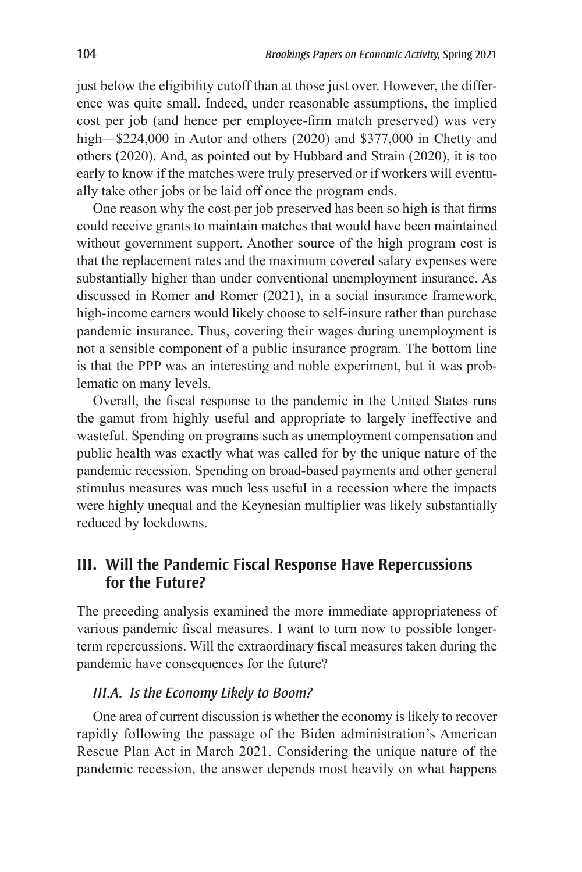just below the eligibility cutoff than at those just over. However, the difference was quite small. Indeed, under reasonable assumptions, the implied cost per job (and hence per employee-firm match preserved) was very high—\$224,000 in Autor and others (2020) and \$377,000 in Chetty and others (2020). And, as pointed out by Hubbard and Strain (2020), it is too early to know if the matches were truly preserved or if workers will eventually take other jobs or be laid off once the program ends.

One reason why the cost per job preserved has been so high is that firms could receive grants to maintain matches that would have been maintained without government support. Another source of the high program cost is that the replacement rates and the maximum covered salary expenses were substantially higher than under conventional unemployment insurance. As discussed in Romer and Romer (2021), in a social insurance framework, high-income earners would likely choose to self-insure rather than purchase pandemic insurance. Thus, covering their wages during unemployment is not a sensible component of a public insurance program. The bottom line is that the PPP was an interesting and noble experiment, but it was problematic on many levels.

Overall, the fiscal response to the pandemic in the United States runs the gamut from highly useful and appropriate to largely ineffective and wasteful. Spending on programs such as unemployment compensation and public health was exactly what was called for by the unique nature of the pandemic recession. Spending on broad-based payments and other general stimulus measures was much less useful in a recession where the impacts were highly unequal and the Keynesian multiplier was likely substantially reduced by lockdowns.

## **III. Will the Pandemic Fiscal Response Have Repercussions for the Future?**

The preceding analysis examined the more immediate appropriateness of various pandemic fiscal measures. I want to turn now to possible longerterm repercussions. Will the extraordinary fiscal measures taken during the pandemic have consequences for the future?

### *III.A. Is the Economy Likely to Boom?*

One area of current discussion is whether the economy is likely to recover rapidly following the passage of the Biden administration's American Rescue Plan Act in March 2021. Considering the unique nature of the pandemic recession, the answer depends most heavily on what happens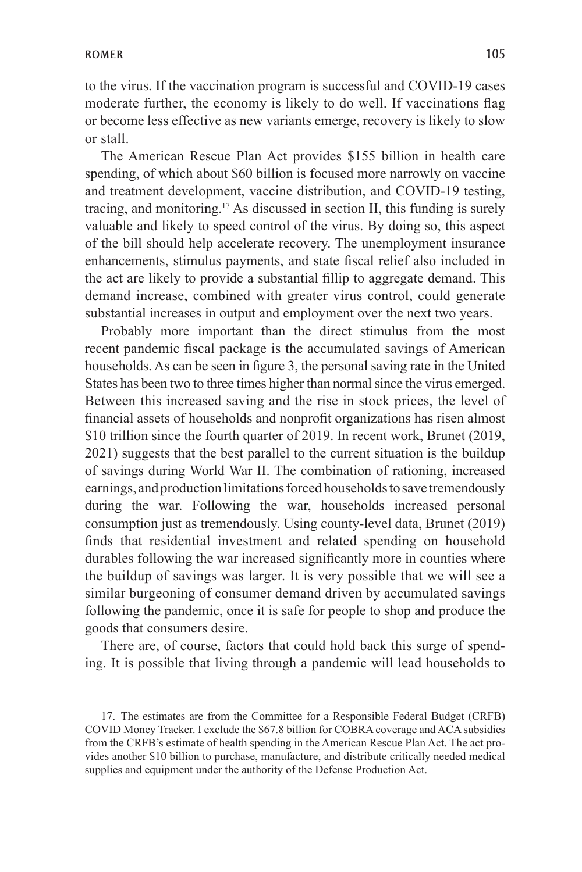to the virus. If the vaccination program is successful and COVID-19 cases moderate further, the economy is likely to do well. If vaccinations flag or become less effective as new variants emerge, recovery is likely to slow or stall.

The American Rescue Plan Act provides \$155 billion in health care spending, of which about \$60 billion is focused more narrowly on vaccine and treatment development, vaccine distribution, and COVID-19 testing, tracing, and monitoring.17 As discussed in section II, this funding is surely valuable and likely to speed control of the virus. By doing so, this aspect of the bill should help accelerate recovery. The unemployment insurance enhancements, stimulus payments, and state fiscal relief also included in the act are likely to provide a substantial fillip to aggregate demand. This demand increase, combined with greater virus control, could generate substantial increases in output and employment over the next two years.

Probably more important than the direct stimulus from the most recent pandemic fiscal package is the accumulated savings of American households. As can be seen in figure 3, the personal saving rate in the United States has been two to three times higher than normal since the virus emerged. Between this increased saving and the rise in stock prices, the level of financial assets of households and nonprofit organizations has risen almost \$10 trillion since the fourth quarter of 2019. In recent work, Brunet (2019, 2021) suggests that the best parallel to the current situation is the buildup of savings during World War II. The combination of rationing, increased earnings, and production limitations forced households to save tremendously during the war. Following the war, households increased personal consumption just as tremendously. Using county-level data, Brunet (2019) finds that residential investment and related spending on household durables following the war increased significantly more in counties where the buildup of savings was larger. It is very possible that we will see a similar burgeoning of consumer demand driven by accumulated savings following the pandemic, once it is safe for people to shop and produce the goods that consumers desire.

There are, of course, factors that could hold back this surge of spending. It is possible that living through a pandemic will lead households to

<sup>17.</sup> The estimates are from the Committee for a Responsible Federal Budget (CRFB) COVID Money Tracker. I exclude the \$67.8 billion for COBRA coverage and ACA subsidies from the CRFB's estimate of health spending in the American Rescue Plan Act. The act provides another \$10 billion to purchase, manufacture, and distribute critically needed medical supplies and equipment under the authority of the Defense Production Act.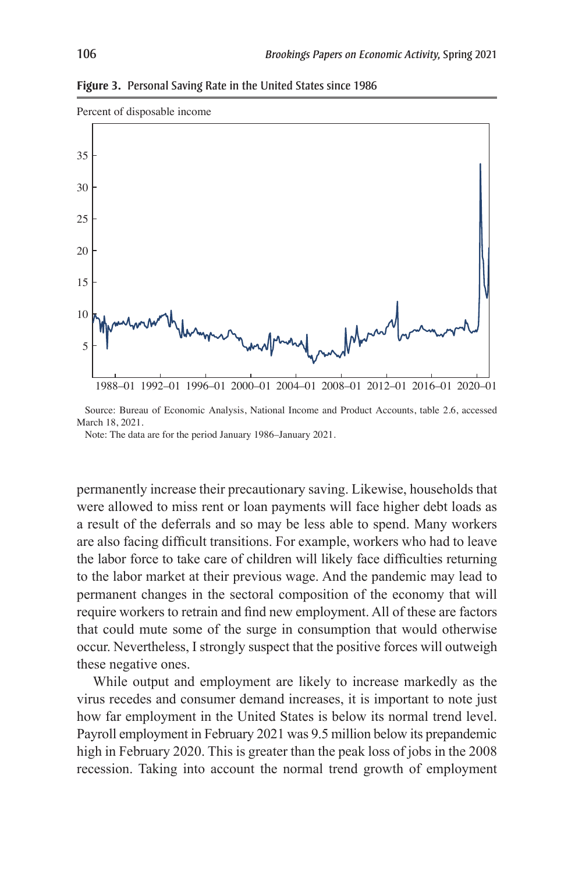**Figure 3.** Personal Saving Rate in the United States since 1986



Source: Bureau of Economic Analysis, National Income and Product Accounts, table 2.6, accessed March 18, 2021.

Note: The data are for the period January 1986–January 2021.

permanently increase their precautionary saving. Likewise, households that were allowed to miss rent or loan payments will face higher debt loads as a result of the deferrals and so may be less able to spend. Many workers are also facing difficult transitions. For example, workers who had to leave the labor force to take care of children will likely face difficulties returning to the labor market at their previous wage. And the pandemic may lead to permanent changes in the sectoral composition of the economy that will require workers to retrain and find new employment. All of these are factors that could mute some of the surge in consumption that would otherwise occur. Nevertheless, I strongly suspect that the positive forces will outweigh these negative ones.

While output and employment are likely to increase markedly as the virus recedes and consumer demand increases, it is important to note just how far employment in the United States is below its normal trend level. Payroll employment in February 2021 was 9.5 million below its prepandemic high in February 2020. This is greater than the peak loss of jobs in the 2008 recession. Taking into account the normal trend growth of employment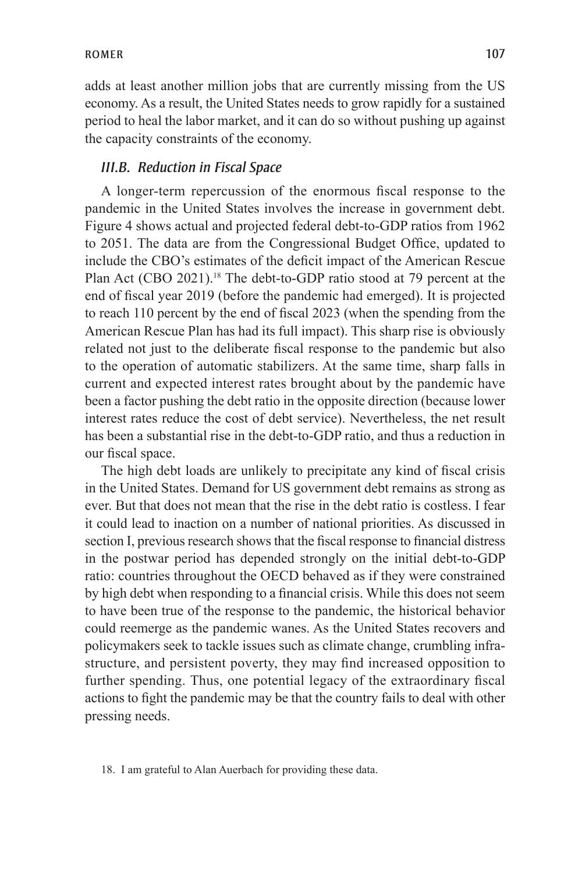adds at least another million jobs that are currently missing from the US economy. As a result, the United States needs to grow rapidly for a sustained period to heal the labor market, and it can do so without pushing up against the capacity constraints of the economy.

#### *III.B. Reduction in Fiscal Space*

A longer-term repercussion of the enormous fiscal response to the pandemic in the United States involves the increase in government debt. Figure 4 shows actual and projected federal debt-to-GDP ratios from 1962 to 2051. The data are from the Congressional Budget Office, updated to include the CBO's estimates of the deficit impact of the American Rescue Plan Act (CBO 2021).<sup>18</sup> The debt-to-GDP ratio stood at 79 percent at the end of fiscal year 2019 (before the pandemic had emerged). It is projected to reach 110 percent by the end of fiscal 2023 (when the spending from the American Rescue Plan has had its full impact). This sharp rise is obviously related not just to the deliberate fiscal response to the pandemic but also to the operation of automatic stabilizers. At the same time, sharp falls in current and expected interest rates brought about by the pandemic have been a factor pushing the debt ratio in the opposite direction (because lower interest rates reduce the cost of debt service). Nevertheless, the net result has been a substantial rise in the debt-to-GDP ratio, and thus a reduction in our fiscal space.

The high debt loads are unlikely to precipitate any kind of fiscal crisis in the United States. Demand for US government debt remains as strong as ever. But that does not mean that the rise in the debt ratio is costless. I fear it could lead to inaction on a number of national priorities. As discussed in section I, previous research shows that the fiscal response to financial distress in the postwar period has depended strongly on the initial debt-to-GDP ratio: countries throughout the OECD behaved as if they were constrained by high debt when responding to a financial crisis. While this does not seem to have been true of the response to the pandemic, the historical behavior could reemerge as the pandemic wanes. As the United States recovers and policymakers seek to tackle issues such as climate change, crumbling infrastructure, and persistent poverty, they may find increased opposition to further spending. Thus, one potential legacy of the extraordinary fiscal actions to fight the pandemic may be that the country fails to deal with other pressing needs.

<sup>18.</sup> I am grateful to Alan Auerbach for providing these data.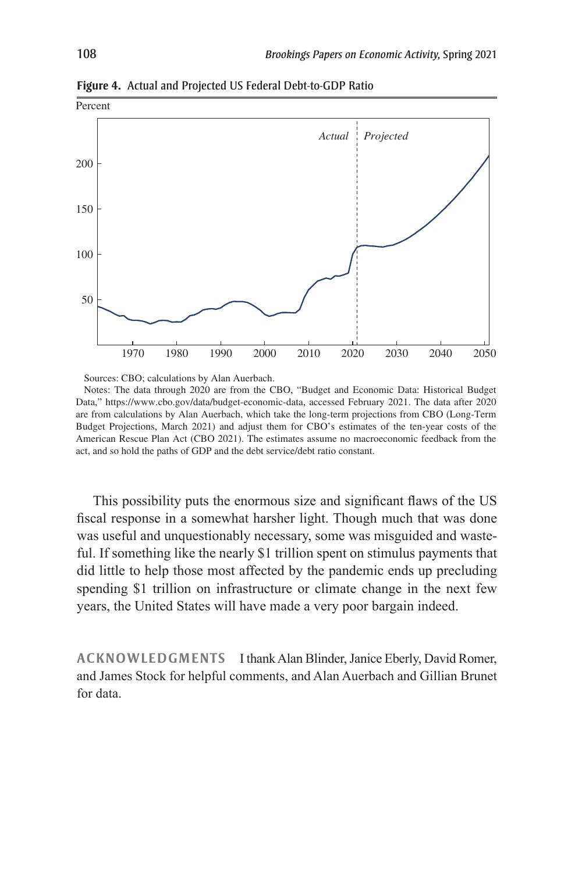

**Figure 4.** Actual and Projected US Federal Debt-to-GDP Ratio

Sources: CBO; calculations by Alan Auerbach.

Notes: The data through 2020 are from the CBO, "Budget and Economic Data: Historical Budget Data," https://www.cbo.gov/data/budget-economic-data, accessed February 2021. The data after 2020 are from calculations by Alan Auerbach, which take the long-term projections from CBO (Long-Term Budget Projections, March 2021) and adjust them for CBO's estimates of the ten-year costs of the American Rescue Plan Act (CBO 2021). The estimates assume no macroeconomic feedback from the act, and so hold the paths of GDP and the debt service/debt ratio constant.

This possibility puts the enormous size and significant flaws of the US fiscal response in a somewhat harsher light. Though much that was done was useful and unquestionably necessary, some was misguided and wasteful. If something like the nearly \$1 trillion spent on stimulus payments that did little to help those most affected by the pandemic ends up precluding spending \$1 trillion on infrastructure or climate change in the next few years, the United States will have made a very poor bargain indeed.

**ACKNOWLEDGMENTS** I thank Alan Blinder, Janice Eberly, David Romer, and James Stock for helpful comments, and Alan Auerbach and Gillian Brunet for data.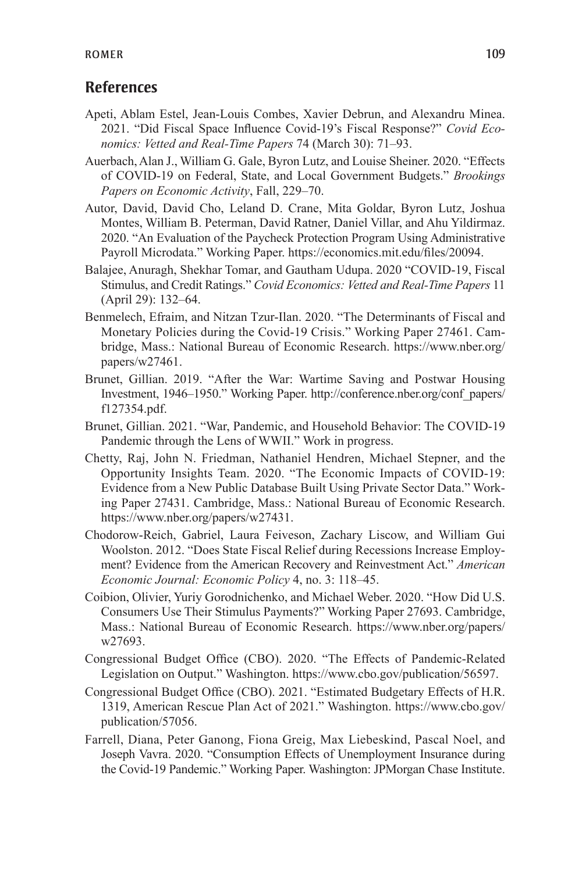## **References**

- Apeti, Ablam Estel, Jean-Louis Combes, Xavier Debrun, and Alexandru Minea. 2021. "Did Fiscal Space Influence Covid-19's Fiscal Response?" *Covid Economics: Vetted and Real-Time Papers* 74 (March 30): 71–93.
- Auerbach, Alan J., William G. Gale, Byron Lutz, and Louise Sheiner. 2020. "Effects of COVID-19 on Federal, State, and Local Government Budgets." *Brookings Papers on Economic Activity*, Fall, 229–70.
- Autor, David, David Cho, Leland D. Crane, Mita Goldar, Byron Lutz, Joshua Montes, William B. Peterman, David Ratner, Daniel Villar, and Ahu Yildirmaz. 2020. "An Evaluation of the Paycheck Protection Program Using Administrative Payroll Microdata." Working Paper. https://economics.mit.edu/files/20094.
- Balajee, Anuragh, Shekhar Tomar, and Gautham Udupa. 2020 "COVID-19, Fiscal Stimulus, and Credit Ratings." *Covid Economics: Vetted and Real-Time Papers* 11 (April 29): 132–64.
- Benmelech, Efraim, and Nitzan Tzur-Ilan. 2020. "The Determinants of Fiscal and Monetary Policies during the Covid-19 Crisis." Working Paper 27461. Cambridge, Mass.: National Bureau of Economic Research. https://www.nber.org/ papers/w27461.
- Brunet, Gillian. 2019. "After the War: Wartime Saving and Postwar Housing Investment, 1946–1950." Working Paper. http://conference.nber.org/conf\_papers/ f127354.pdf.
- Brunet, Gillian. 2021. "War, Pandemic, and Household Behavior: The COVID-19 Pandemic through the Lens of WWII." Work in progress.
- Chetty, Raj, John N. Friedman, Nathaniel Hendren, Michael Stepner, and the Opportunity Insights Team. 2020. "The Economic Impacts of COVID-19: Evidence from a New Public Database Built Using Private Sector Data." Working Paper 27431. Cambridge, Mass.: National Bureau of Economic Research. https://www.nber.org/papers/w27431.
- Chodorow-Reich, Gabriel, Laura Feiveson, Zachary Liscow, and William Gui Woolston. 2012. "Does State Fiscal Relief during Recessions Increase Employment? Evidence from the American Recovery and Reinvestment Act." *American Economic Journal: Economic Policy* 4, no. 3: 118–45.
- Coibion, Olivier, Yuriy Gorodnichenko, and Michael Weber. 2020. "How Did U.S. Consumers Use Their Stimulus Payments?" Working Paper 27693. Cambridge, Mass.: National Bureau of Economic Research. https://www.nber.org/papers/ w27693.
- Congressional Budget Office (CBO). 2020. "The Effects of Pandemic-Related Legislation on Output." Washington. https://www.cbo.gov/publication/56597.
- Congressional Budget Office (CBO). 2021. "Estimated Budgetary Effects of H.R. 1319, American Rescue Plan Act of 2021." Washington. https://www.cbo.gov/ publication/57056.
- Farrell, Diana, Peter Ganong, Fiona Greig, Max Liebeskind, Pascal Noel, and Joseph Vavra. 2020. "Consumption Effects of Unemployment Insurance during the Covid-19 Pandemic." Working Paper. Washington: JPMorgan Chase Institute.